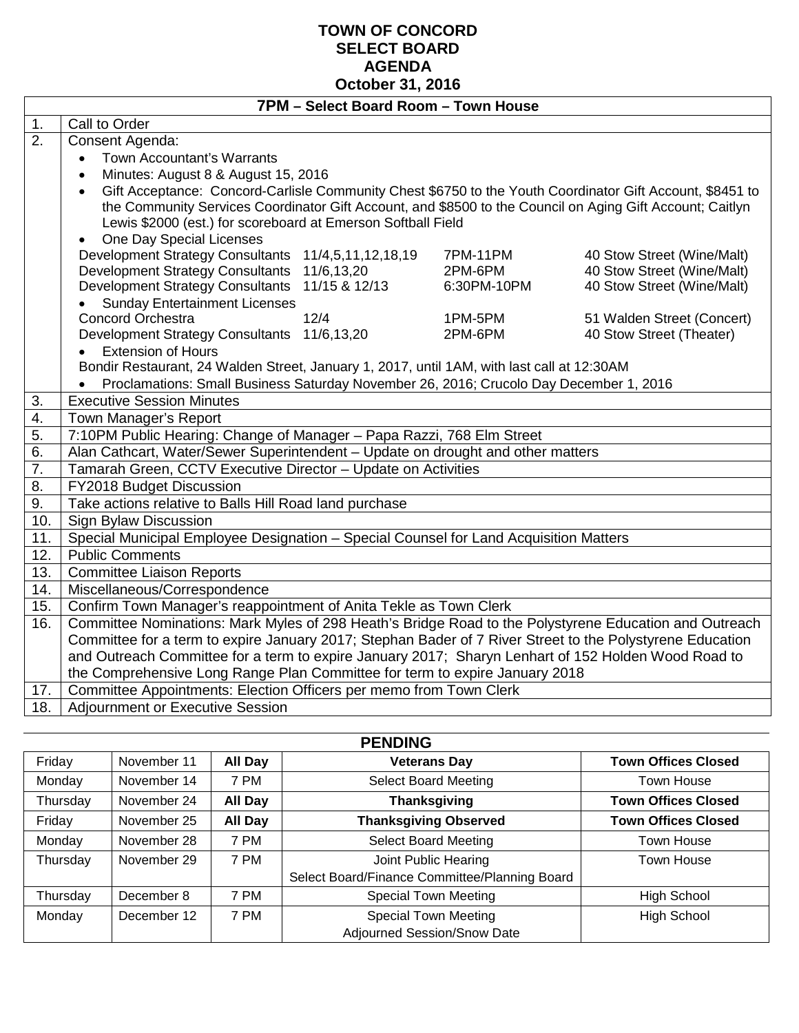#### **TOWN OF CONCORD SELECT BOARD AGENDA October 31, 2016**

|     | 7PM - Select Board Room - Town House                                                                                                                                                 |  |  |  |  |  |
|-----|--------------------------------------------------------------------------------------------------------------------------------------------------------------------------------------|--|--|--|--|--|
| 1.  | Call to Order                                                                                                                                                                        |  |  |  |  |  |
| 2.  | Consent Agenda:                                                                                                                                                                      |  |  |  |  |  |
|     | Town Accountant's Warrants<br>$\bullet$                                                                                                                                              |  |  |  |  |  |
|     | Minutes: August 8 & August 15, 2016<br>$\bullet$                                                                                                                                     |  |  |  |  |  |
|     | Gift Acceptance: Concord-Carlisle Community Chest \$6750 to the Youth Coordinator Gift Account, \$8451 to<br>$\bullet$                                                               |  |  |  |  |  |
|     | the Community Services Coordinator Gift Account, and \$8500 to the Council on Aging Gift Account; Caitlyn                                                                            |  |  |  |  |  |
|     | Lewis \$2000 (est.) for scoreboard at Emerson Softball Field                                                                                                                         |  |  |  |  |  |
|     | One Day Special Licenses<br>$\bullet$                                                                                                                                                |  |  |  |  |  |
|     | <b>Development Strategy Consultants</b><br>11/4,5,11,12,18,19<br><b>7PM-11PM</b><br>40 Stow Street (Wine/Malt)                                                                       |  |  |  |  |  |
|     | <b>Development Strategy Consultants</b><br>40 Stow Street (Wine/Malt)<br>11/6,13,20<br>2PM-6PM                                                                                       |  |  |  |  |  |
|     | <b>Development Strategy Consultants</b><br>11/15 & 12/13<br>40 Stow Street (Wine/Malt)<br>6:30PM-10PM                                                                                |  |  |  |  |  |
|     | <b>Sunday Entertainment Licenses</b><br>$\bullet$                                                                                                                                    |  |  |  |  |  |
|     | <b>Concord Orchestra</b><br>12/4<br>51 Walden Street (Concert)<br>1PM-5PM                                                                                                            |  |  |  |  |  |
|     | Development Strategy Consultants 11/6,13,20<br>40 Stow Street (Theater)<br>2PM-6PM<br><b>Extension of Hours</b>                                                                      |  |  |  |  |  |
|     | $\bullet$                                                                                                                                                                            |  |  |  |  |  |
|     | Bondir Restaurant, 24 Walden Street, January 1, 2017, until 1AM, with last call at 12:30AM<br>Proclamations: Small Business Saturday November 26, 2016; Crucolo Day December 1, 2016 |  |  |  |  |  |
| 3.  | $\bullet$<br><b>Executive Session Minutes</b>                                                                                                                                        |  |  |  |  |  |
| 4.  | Town Manager's Report                                                                                                                                                                |  |  |  |  |  |
| 5.  | 7:10PM Public Hearing: Change of Manager - Papa Razzi, 768 Elm Street                                                                                                                |  |  |  |  |  |
| 6.  | Alan Cathcart, Water/Sewer Superintendent - Update on drought and other matters                                                                                                      |  |  |  |  |  |
| 7.  | Tamarah Green, CCTV Executive Director - Update on Activities                                                                                                                        |  |  |  |  |  |
| 8.  | FY2018 Budget Discussion                                                                                                                                                             |  |  |  |  |  |
| 9.  | Take actions relative to Balls Hill Road land purchase                                                                                                                               |  |  |  |  |  |
| 10. | <b>Sign Bylaw Discussion</b>                                                                                                                                                         |  |  |  |  |  |
| 11. | Special Municipal Employee Designation - Special Counsel for Land Acquisition Matters                                                                                                |  |  |  |  |  |
| 12. | <b>Public Comments</b>                                                                                                                                                               |  |  |  |  |  |
| 13. | Committee Liaison Reports                                                                                                                                                            |  |  |  |  |  |
| 14. | Miscellaneous/Correspondence                                                                                                                                                         |  |  |  |  |  |
| 15. | Confirm Town Manager's reappointment of Anita Tekle as Town Clerk                                                                                                                    |  |  |  |  |  |
| 16. | Committee Nominations: Mark Myles of 298 Heath's Bridge Road to the Polystyrene Education and Outreach                                                                               |  |  |  |  |  |
|     | Committee for a term to expire January 2017; Stephan Bader of 7 River Street to the Polystyrene Education                                                                            |  |  |  |  |  |
|     | and Outreach Committee for a term to expire January 2017; Sharyn Lenhart of 152 Holden Wood Road to                                                                                  |  |  |  |  |  |
|     |                                                                                                                                                                                      |  |  |  |  |  |
|     | the Comprehensive Long Range Plan Committee for term to expire January 2018                                                                                                          |  |  |  |  |  |
| 17. | Committee Appointments: Election Officers per memo from Town Clerk                                                                                                                   |  |  |  |  |  |

| <b>PENDING</b> |             |                |                                                            |                            |  |  |  |
|----------------|-------------|----------------|------------------------------------------------------------|----------------------------|--|--|--|
| Friday         | November 11 | All Day        | <b>Veterans Day</b>                                        | <b>Town Offices Closed</b> |  |  |  |
| Monday         | November 14 | 7 PM           | <b>Select Board Meeting</b>                                | Town House                 |  |  |  |
| Thursday       | November 24 | <b>All Day</b> | <b>Thanksgiving</b>                                        | <b>Town Offices Closed</b> |  |  |  |
| Friday         | November 25 | All Day        | <b>Thanksgiving Observed</b>                               | <b>Town Offices Closed</b> |  |  |  |
| Monday         | November 28 | 7 PM           | <b>Select Board Meeting</b>                                | Town House                 |  |  |  |
| Thursday       | November 29 | 7 PM           | Joint Public Hearing                                       | Town House                 |  |  |  |
|                |             |                | Select Board/Finance Committee/Planning Board              |                            |  |  |  |
| Thursday       | December 8  | 7 PM           | <b>Special Town Meeting</b>                                | <b>High School</b>         |  |  |  |
| Monday         | December 12 | 7 PM           | <b>Special Town Meeting</b><br>Adjourned Session/Snow Date | <b>High School</b>         |  |  |  |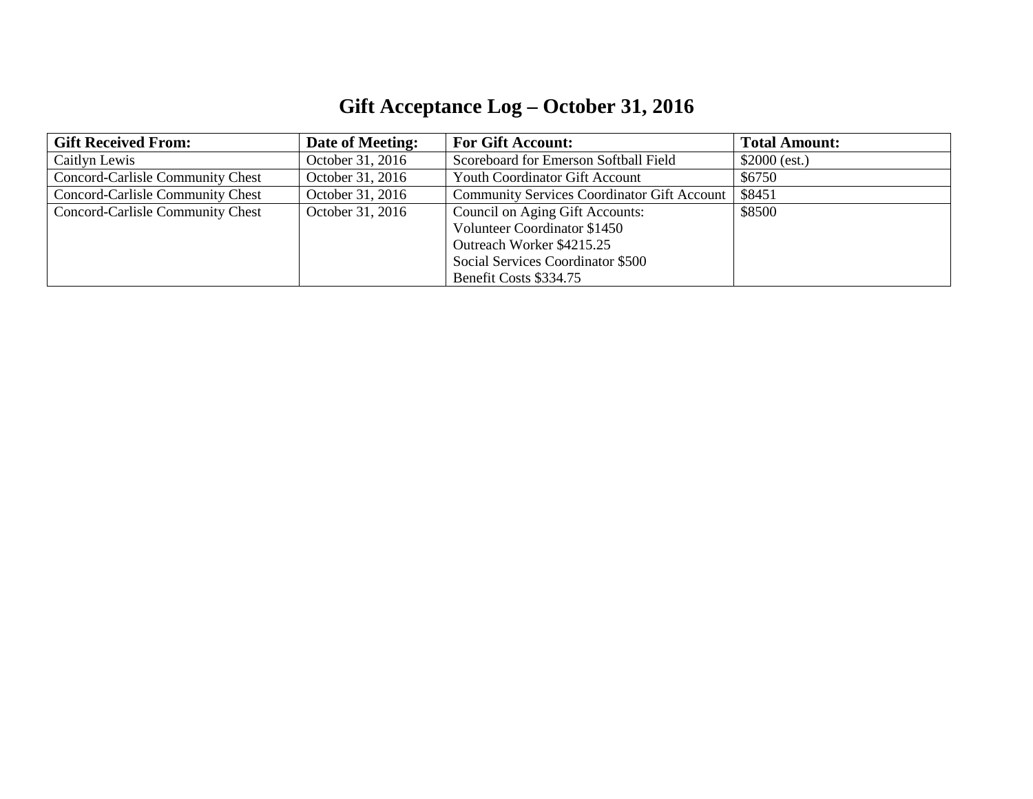## **Gift Acceptance Log – October 31, 2016**

| <b>Gift Received From:</b>              | Date of Meeting: | <b>For Gift Account:</b>                           | <b>Total Amount:</b> |
|-----------------------------------------|------------------|----------------------------------------------------|----------------------|
| Caitlyn Lewis                           | October 31, 2016 | Scoreboard for Emerson Softball Field              | $$2000$ (est.)       |
| Concord-Carlisle Community Chest        | October 31, 2016 | <b>Youth Coordinator Gift Account</b>              | \$6750               |
| <b>Concord-Carlisle Community Chest</b> | October 31, 2016 | <b>Community Services Coordinator Gift Account</b> | \$8451               |
| Concord-Carlisle Community Chest        | October 31, 2016 | Council on Aging Gift Accounts:                    | \$8500               |
|                                         |                  | Volunteer Coordinator \$1450                       |                      |
|                                         |                  | Outreach Worker \$4215.25                          |                      |
|                                         |                  | Social Services Coordinator \$500                  |                      |
|                                         |                  | Benefit Costs \$334.75                             |                      |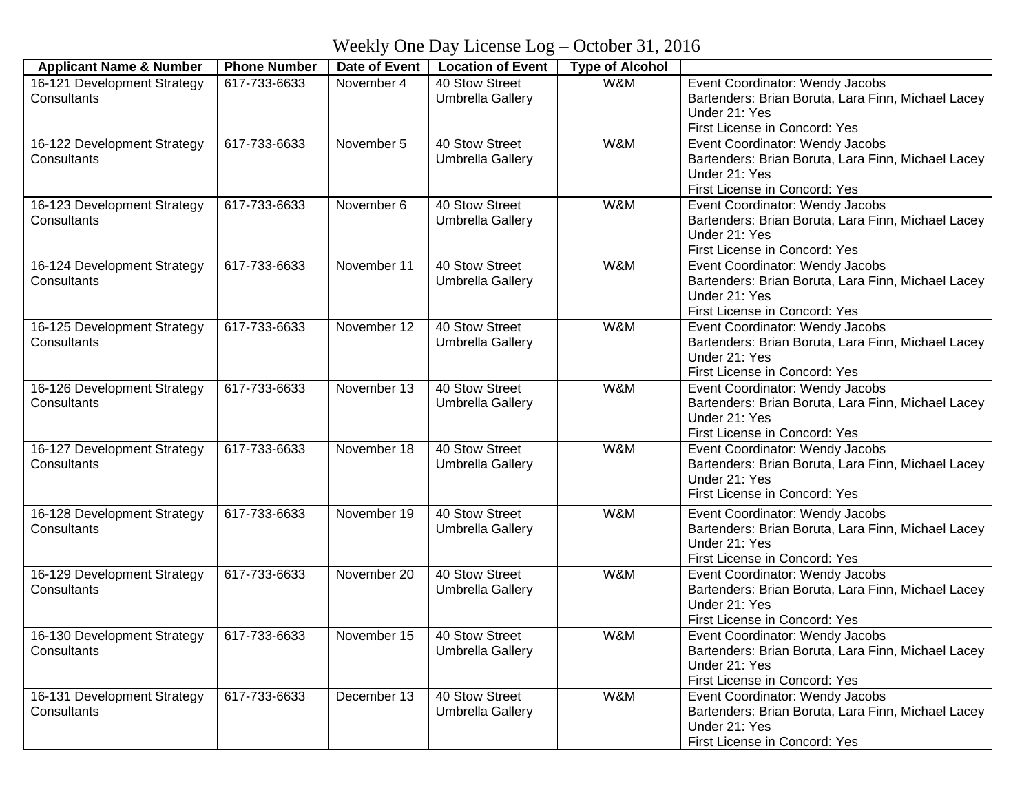Weekly One Day License Log – October 31, 2016

| <b>Applicant Name &amp; Number</b>         | <b>Phone Number</b> | Date of Event | <b>Location of Event</b>                  | <b>Type of Alcohol</b> |                                                                                       |
|--------------------------------------------|---------------------|---------------|-------------------------------------------|------------------------|---------------------------------------------------------------------------------------|
| 16-121 Development Strategy                | 617-733-6633        | November 4    | 40 Stow Street                            | W&M                    | Event Coordinator: Wendy Jacobs                                                       |
| Consultants                                |                     |               | <b>Umbrella Gallery</b>                   |                        | Bartenders: Brian Boruta, Lara Finn, Michael Lacey                                    |
|                                            |                     |               |                                           |                        | Under 21: Yes                                                                         |
|                                            |                     |               |                                           |                        | First License in Concord: Yes                                                         |
| 16-122 Development Strategy                | 617-733-6633        | November 5    | 40 Stow Street                            | W&M                    | Event Coordinator: Wendy Jacobs                                                       |
| Consultants                                |                     |               | <b>Umbrella Gallery</b>                   |                        | Bartenders: Brian Boruta, Lara Finn, Michael Lacey<br>Under 21: Yes                   |
|                                            |                     |               |                                           |                        | First License in Concord: Yes                                                         |
| 16-123 Development Strategy                | 617-733-6633        | November 6    | 40 Stow Street                            | W&M                    | Event Coordinator: Wendy Jacobs                                                       |
| Consultants                                |                     |               | <b>Umbrella Gallery</b>                   |                        | Bartenders: Brian Boruta, Lara Finn, Michael Lacey                                    |
|                                            |                     |               |                                           |                        | Under 21: Yes                                                                         |
|                                            |                     |               |                                           |                        | First License in Concord: Yes                                                         |
| 16-124 Development Strategy                | 617-733-6633        | November 11   | 40 Stow Street                            | W&M                    | Event Coordinator: Wendy Jacobs                                                       |
| Consultants                                |                     |               | Umbrella Gallery                          |                        | Bartenders: Brian Boruta, Lara Finn, Michael Lacey                                    |
|                                            |                     |               |                                           |                        | Under 21: Yes                                                                         |
|                                            |                     |               |                                           |                        | First License in Concord: Yes                                                         |
| 16-125 Development Strategy<br>Consultants | 617-733-6633        | November 12   | 40 Stow Street                            | W&M                    | Event Coordinator: Wendy Jacobs                                                       |
|                                            |                     |               | Umbrella Gallery                          |                        | Bartenders: Brian Boruta, Lara Finn, Michael Lacey<br>Under 21: Yes                   |
|                                            |                     |               |                                           |                        | First License in Concord: Yes                                                         |
| 16-126 Development Strategy                | 617-733-6633        | November 13   | 40 Stow Street                            | W&M                    | Event Coordinator: Wendy Jacobs                                                       |
| Consultants                                |                     |               | <b>Umbrella Gallery</b>                   |                        | Bartenders: Brian Boruta, Lara Finn, Michael Lacey                                    |
|                                            |                     |               |                                           |                        | Under 21: Yes                                                                         |
|                                            |                     |               |                                           |                        | First License in Concord: Yes                                                         |
| 16-127 Development Strategy                | 617-733-6633        | November 18   | 40 Stow Street                            | W&M                    | Event Coordinator: Wendy Jacobs                                                       |
| Consultants                                |                     |               | <b>Umbrella Gallery</b>                   |                        | Bartenders: Brian Boruta, Lara Finn, Michael Lacey                                    |
|                                            |                     |               |                                           |                        | Under 21: Yes                                                                         |
|                                            |                     |               |                                           |                        | First License in Concord: Yes                                                         |
| 16-128 Development Strategy                | 617-733-6633        | November 19   | 40 Stow Street                            | W&M                    | Event Coordinator: Wendy Jacobs                                                       |
| Consultants                                |                     |               | <b>Umbrella Gallery</b>                   |                        | Bartenders: Brian Boruta, Lara Finn, Michael Lacey                                    |
|                                            |                     |               |                                           |                        | Under 21: Yes                                                                         |
|                                            |                     |               |                                           |                        | First License in Concord: Yes                                                         |
| 16-129 Development Strategy<br>Consultants | 617-733-6633        | November 20   | 40 Stow Street<br><b>Umbrella Gallery</b> | W&M                    | Event Coordinator: Wendy Jacobs<br>Bartenders: Brian Boruta, Lara Finn, Michael Lacey |
|                                            |                     |               |                                           |                        | Under 21: Yes                                                                         |
|                                            |                     |               |                                           |                        | First License in Concord: Yes                                                         |
| 16-130 Development Strategy                | 617-733-6633        | November 15   | 40 Stow Street                            | W&M                    | Event Coordinator: Wendy Jacobs                                                       |
| Consultants                                |                     |               | <b>Umbrella Gallery</b>                   |                        | Bartenders: Brian Boruta, Lara Finn, Michael Lacey                                    |
|                                            |                     |               |                                           |                        | Under 21: Yes                                                                         |
|                                            |                     |               |                                           |                        | First License in Concord: Yes                                                         |
| 16-131 Development Strategy                | 617-733-6633        | December 13   | 40 Stow Street                            | W&M                    | Event Coordinator: Wendy Jacobs                                                       |
| Consultants                                |                     |               | Umbrella Gallery                          |                        | Bartenders: Brian Boruta, Lara Finn, Michael Lacey                                    |
|                                            |                     |               |                                           |                        | Under 21: Yes                                                                         |
|                                            |                     |               |                                           |                        | First License in Concord: Yes                                                         |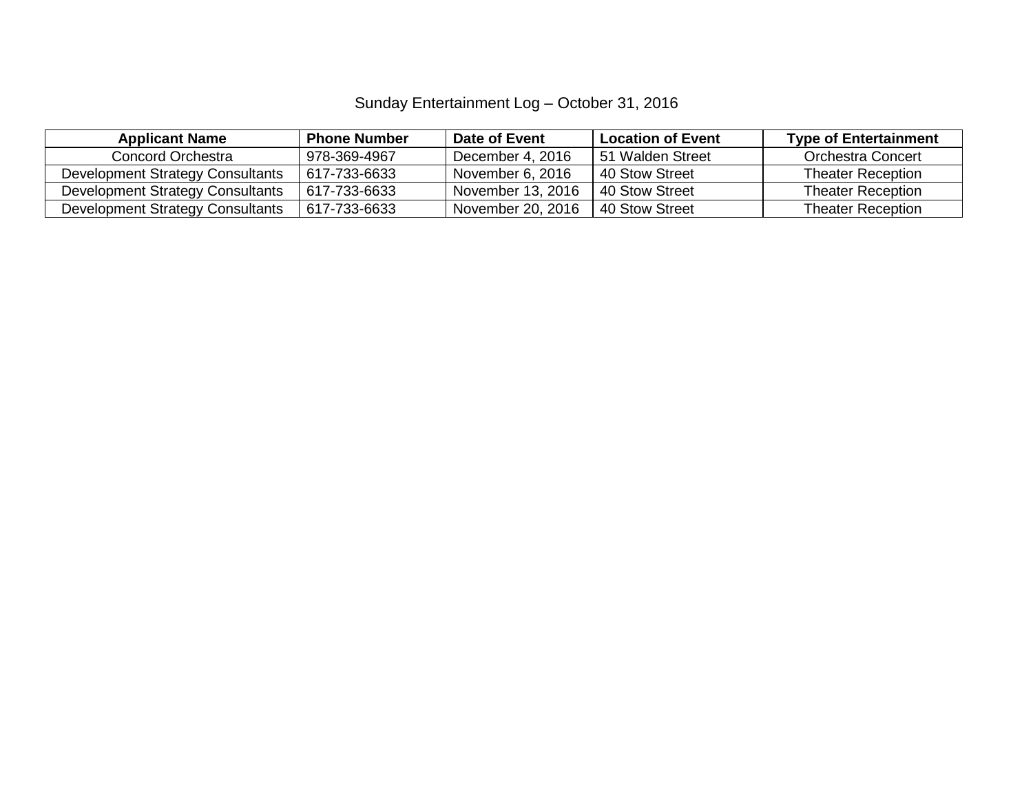### Sunday Entertainment Log – October 31, 2016

| <b>Applicant Name</b>            | <b>Phone Number</b> | Date of Event     | <b>Location of Event</b> | <b>Type of Entertainment</b> |
|----------------------------------|---------------------|-------------------|--------------------------|------------------------------|
| Concord Orchestra                | 978-369-4967        | December 4, 2016  | 51 Walden Street         | Orchestra Concert            |
| Development Strategy Consultants | 617-733-6633        | November 6, 2016  | 40 Stow Street           | <b>Theater Reception</b>     |
| Development Strategy Consultants | 617-733-6633        | November 13, 2016 | 40 Stow Street           | <b>Theater Reception</b>     |
| Development Strategy Consultants | 617-733-6633        | November 20, 2016 | 40 Stow Street           | <b>Theater Reception</b>     |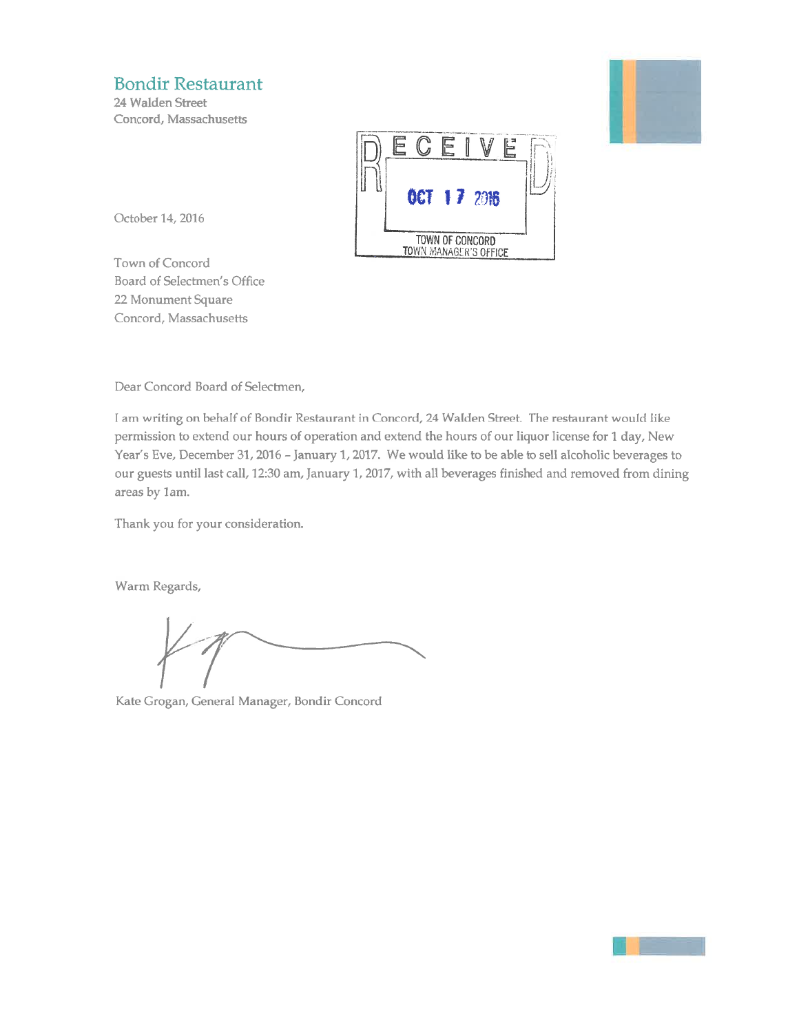### **Bondir Restaurant**

24 Walden Street Concord, Massachusetts





October 14, 2016

Town of Concord Board of Selectmen's Office 22 Monument Square Concord, Massachusetts

Dear Concord Board of Selectmen,

I am writing on behalf of Bondir Restaurant in Concord, 24 Walden Street. The restaurant would like permission to extend our hours of operation and extend the hours of our liquor license for 1 day, New Year's Eve, December 31, 2016 - January 1, 2017. We would like to be able to sell alcoholic beverages to our guests until last call, 12:30 am, January 1, 2017, with all beverages finished and removed from dining areas by 1am.

Thank you for your consideration.

Warm Regards,

Kate Grogan, General Manager, Bondir Concord

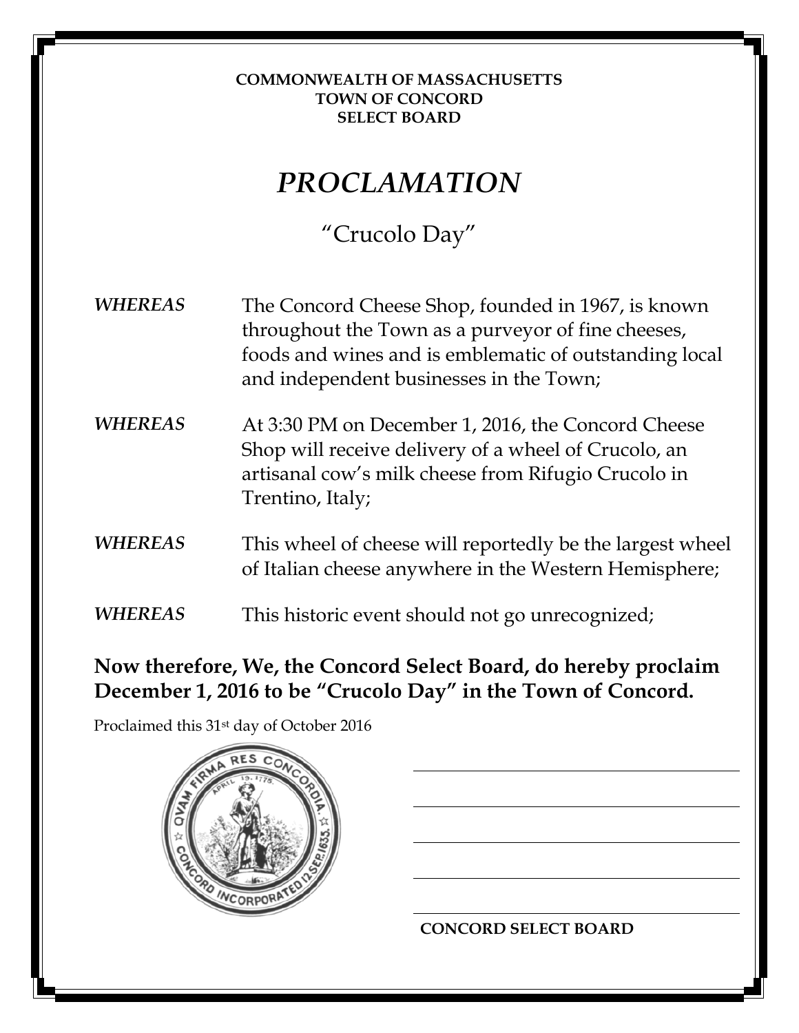#### **COMMONWEALTH OF MASSACHUSETTS TOWN OF CONCORD SELECT BOARD**

# *PROCLAMATION*

"Crucolo Day"

*WHEREAS* The Concord Cheese Shop, founded in 1967, is known throughout the Town as a purveyor of fine cheeses, foods and wines and is emblematic of outstanding local and independent businesses in the Town;

- *WHEREAS* At 3:30 PM on December 1, 2016, the Concord Cheese Shop will receive delivery of a wheel of Crucolo, an artisanal cow's milk cheese from Rifugio Crucolo in Trentino, Italy;
- *WHEREAS* This wheel of cheese will reportedly be the largest wheel of Italian cheese anywhere in the Western Hemisphere;
- *WHEREAS* This historic event should not go unrecognized;

**Now therefore, We, the Concord Select Board, do hereby proclaim December 1, 2016 to be "Crucolo Day" in the Town of Concord.**

Proclaimed this 31st day of October 2016



**CONCORD SELECT BOARD**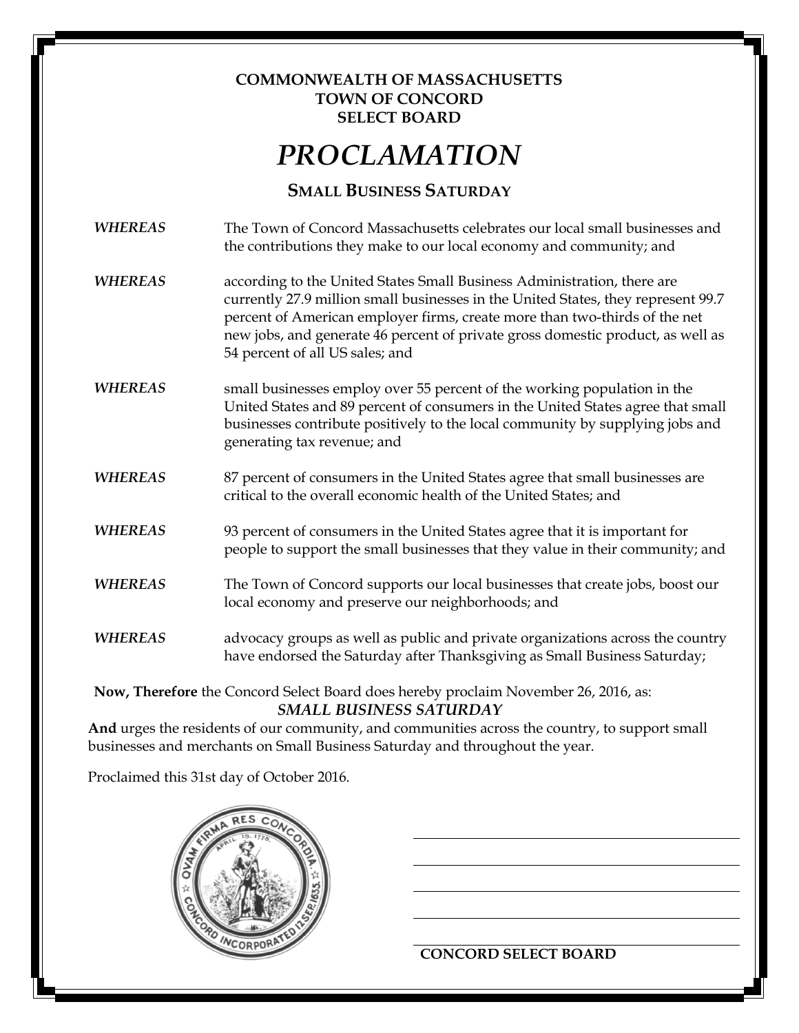#### **COMMONWEALTH OF MASSACHUSETTS TOWN OF CONCORD SELECT BOARD**

# *PROCLAMATION*

### **SMALL BUSINESS SATURDAY**

*WHEREAS* The Town of Concord Massachusetts celebrates our local small businesses and the contributions they make to our local economy and community; and

- *WHEREAS* according to the United States Small Business Administration, there are currently 27.9 million small businesses in the United States, they represent 99.7 percent of American employer firms, create more than two-thirds of the net new jobs, and generate 46 percent of private gross domestic product, as well as 54 percent of all US sales; and
- *WHEREAS* small businesses employ over 55 percent of the working population in the United States and 89 percent of consumers in the United States agree that small businesses contribute positively to the local community by supplying jobs and generating tax revenue; and
- *WHEREAS* 87 percent of consumers in the United States agree that small businesses are critical to the overall economic health of the United States; and
- *WHEREAS* 93 percent of consumers in the United States agree that it is important for people to support the small businesses that they value in their community; and
- *WHEREAS* The Town of Concord supports our local businesses that create jobs, boost our local economy and preserve our neighborhoods; and
- *WHEREAS* advocacy groups as well as public and private organizations across the country have endorsed the Saturday after Thanksgiving as Small Business Saturday;

**Now, Therefore** the Concord Select Board does hereby proclaim November 26, 2016, as: *SMALL BUSINESS SATURDAY*

**And** urges the residents of our community, and communities across the country, to support small businesses and merchants on Small Business Saturday and throughout the year.

Proclaimed this 31st day of October 2016.



### **CONCORD SELECT BOARD**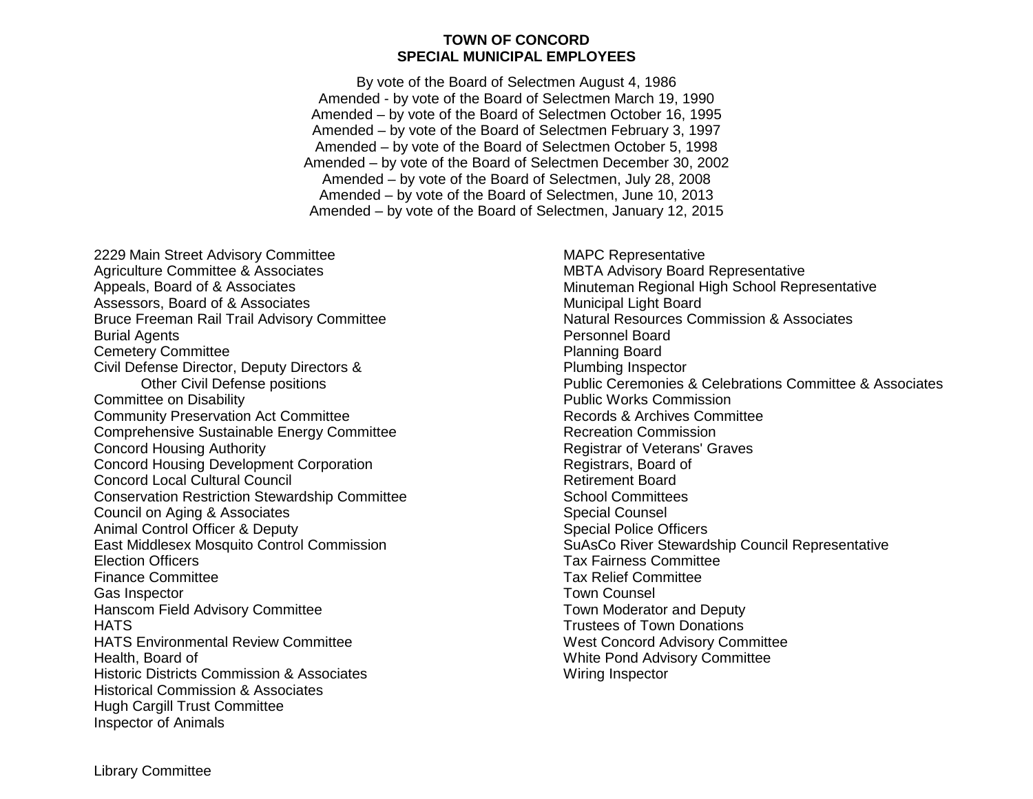#### **TOWN OF CONCORD SPECIAL MUNICIPAL EMPLOYEES**

By vote of the Board of Selectmen August 4, 1986 Amended - by vote of the Board of Selectmen March 19, 1990 Amended – by vote of the Board of Selectmen October 16, 1995 Amended – by vote of the Board of Selectmen February 3, 1997 Amended – by vote of the Board of Selectmen October 5, 1998 Amended – by vote of the Board of Selectmen December 30, 2002 Amended – by vote of the Board of Selectmen, July 28, 2008 Amended – by vote of the Board of Selectmen, June 10, 2013 Amended – by vote of the Board of Selectmen, January 12, 2015

2229 Main Street Advisory Committee Agriculture Committee & Associates Appeals, Board of & Associates Assessors, Board of & Associates Bruce Freeman Rail Trail Advisory Committee Burial Agents Cemetery Committee Civil Defense Director, Deputy Directors & Other Civil Defense positions Committee on Disability Community Preservation Act Committee Comprehensive Sustainable Energy Committee Concord Housing Authority Concord Housing Development Corporation Concord Local Cultural Council Conservation Restriction Stewardship Committee Council on Aging & Associates Animal Control Officer & Deputy East Middlesex Mosquito Control Commission Election Officers Finance Committee Gas Inspector Hanscom Field Advisory Committee **HATS** HATS Environmental Review Committee Health, Board of Historic Districts Commission & Associates Historical Commission & Associates Hugh Cargill Trust Committee Inspector of Animals

MAPC Representative MBTA Advisory Board Representative Minuteman Regional High School Representative Municipal Light Board Natural Resources Commission & Associates Personnel Board Planning Board Plumbing Inspector Public Ceremonies & Celebrations Committee & Associates Public Works Commission Records & Archives Committee Recreation Commission Registrar of Veterans' Graves Registrars, Board of Retirement Board School Committees Special Counsel Special Police Officers SuAsCo River Stewardship Council Representative Tax Fairness Committee Tax Relief Committee Town Counsel Town Moderator and Deputy Trustees of Town Donations West Concord Advisory Committee White Pond Advisory Committee Wiring Inspector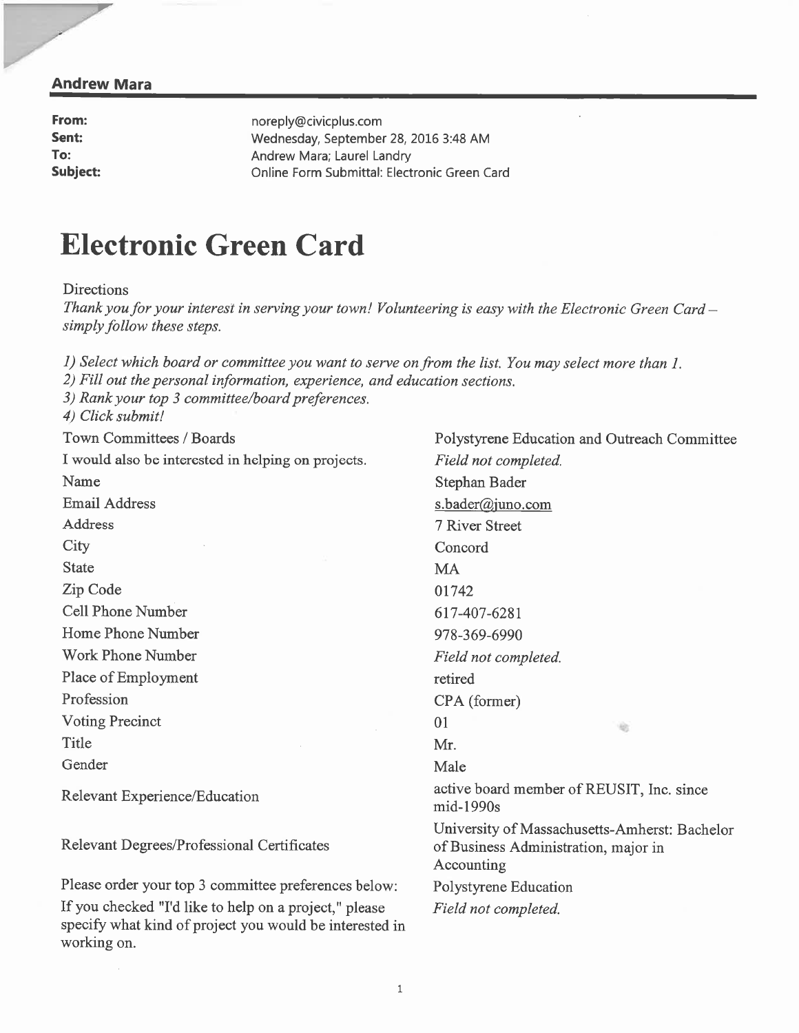#### **Andrew Mara**

From: noreply@civicplus.com Sent: To: Subject:

Wednesday, September 28, 2016 3:48 AM Andrew Mara; Laurel Landry Online Form Submittal: Electronic Green Card

# **Electronic Green Card**

**Directions** 

Thank you for your interest in serving your town! Volunteering is easy with the Electronic Green Card – simply follow these steps.

1) Select which board or committee you want to serve on from the list. You may select more than 1.

2) Fill out the personal information, experience, and education sections.

3) Rank your top 3 committee/board preferences.

4) Click submit!

Town Committees / Boards

I would also be interested in helping on projects. Name **Email Address Address** City **State** Zip Code **Cell Phone Number** Home Phone Number Work Phone Number Place of Employment Profession

**Voting Precinct** Title

Gender

Relevant Experience/Education

Relevant Degrees/Professional Certificates

Please order your top 3 committee preferences below: If you checked "I'd like to help on a project," please specify what kind of project you would be interested in working on.

Polystyrene Education and Outreach Committee Field not completed. Stephan Bader s.bader@juno.com 7 River Street Concord **MA** 01742 617-407-6281 978-369-6990 Field not completed. retired CPA (former) 01 宿  $Mr$ Male active board member of REUSIT, Inc. since mid-1990s University of Massachusetts-Amherst: Bachelor of Business Administration, major in Accounting Polystyrene Education Field not completed.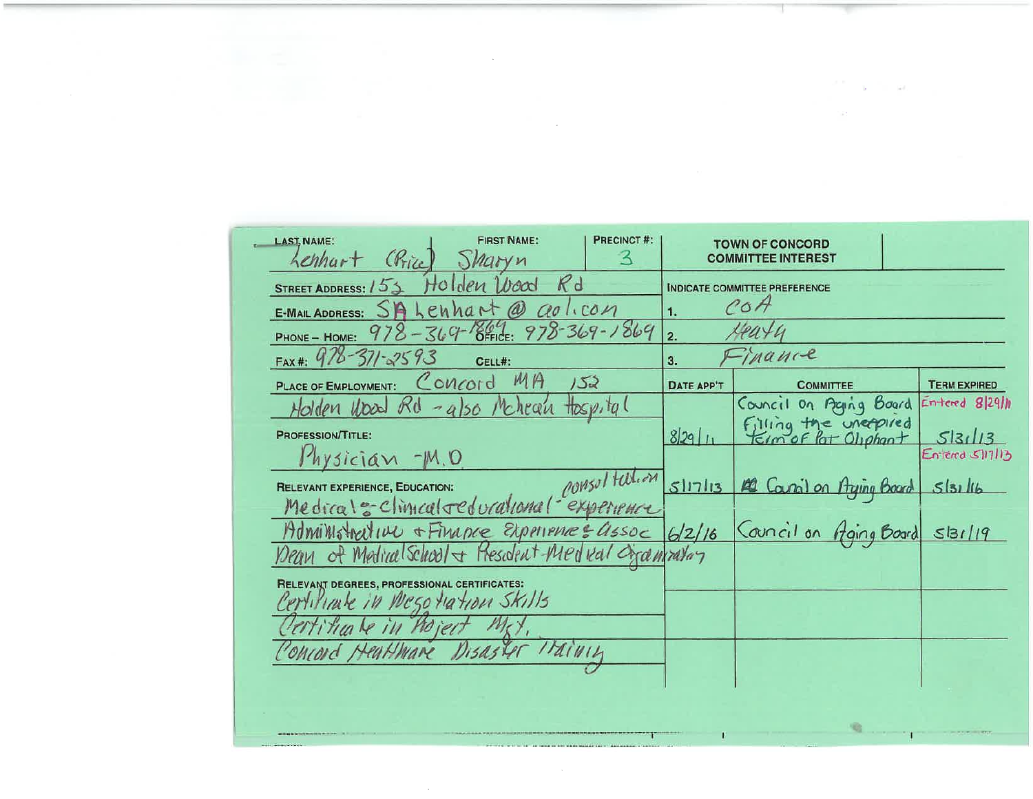| <b>PRECINCT#:</b><br><b>FIRST NAME:</b><br><b>LAST, NAME:</b><br>Chice<br>henhart<br>$\prec$<br><i>Sharyn</i> |            | <b>TOWN OF CONCORD</b><br><b>COMMITTEE INTEREST</b> |                     |
|---------------------------------------------------------------------------------------------------------------|------------|-----------------------------------------------------|---------------------|
| Kd<br>Wood<br>STREET ADDRESS: 153<br>но                                                                       |            | <b>INDICATE COMMITTEE PREFERENCE</b>                |                     |
| Lenhart<br>$^{\omega}$<br>$a^{-1}$<br>E-MAIL ADDRESS: 5                                                       | 1.         | $\ell$ o $H$                                        |                     |
| $978 - 369 - 864$<br>PHONE - HOME:                                                                            | 2.         |                                                     |                     |
| FAX#: $976 - 371 - 2593$<br>CELL#:                                                                            | 3.         | Thanne                                              |                     |
| MA<br>Concord<br>123<br>PLACE OF EMPLOYMENT:                                                                  | DATE APP'T | <b>COMMITTEE</b>                                    | <b>TERM EXPIRED</b> |
| Holden Upad Rd<br>Mchean<br>$Hosp$ , ta (<br>$-9150$                                                          |            | Council on Acging Board                             | Entered 8 29 h      |
| <b>PROFESSION/TITLE:</b>                                                                                      | 82911      | Filling the unexpired                               | 5 31 13             |
| hysician -M.O                                                                                                 |            |                                                     | Entered S117113     |
| COMSULTAtion<br><b>RELEVANT EXPERIENCE, EDUCATION:</b>                                                        | 51713      | 12 Caral on Aging Board                             | 513116              |
| Medical= climcal reducational-experience                                                                      |            |                                                     |                     |
| Moministrative + Finance Experience = assoc                                                                   | 6/2/16     | Council on Aging Board S131/19                      |                     |
| ean of Medical School & Fresident-Medical Ogcanizatory                                                        |            |                                                     |                     |
| RELEVANT DEGREES, PROFESSIONAL CERTIFICATES:                                                                  |            |                                                     |                     |
| Certificate in Negotiation Skills                                                                             |            |                                                     |                     |
| ertiticale in hoject                                                                                          |            |                                                     |                     |
| Disaster Italinin<br>Ohrord Heat Mare                                                                         |            |                                                     |                     |
|                                                                                                               |            |                                                     |                     |
|                                                                                                               |            |                                                     |                     |
|                                                                                                               |            |                                                     |                     |

 $\Gamma$ 

 $\sim 10^{-11}$ 

and the company

 $\frac{1}{2}$  , we have  $\frac{1}{2}$  , and  $\frac{1}{2}$  , and  $\frac{1}{2}$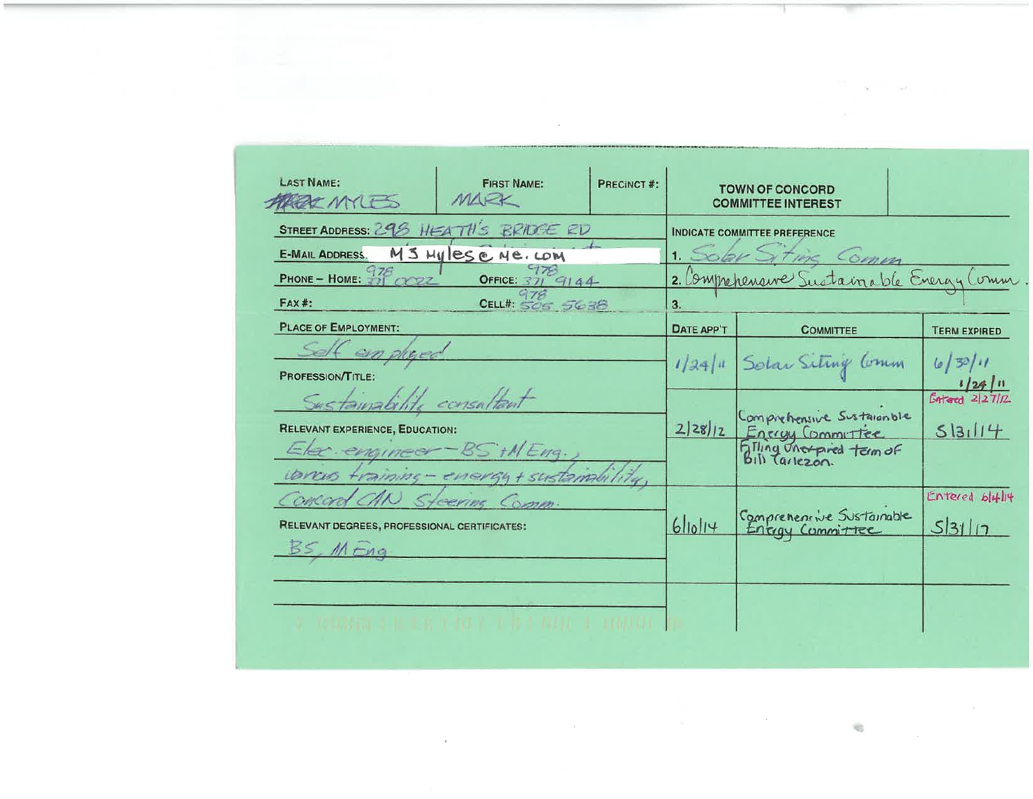| <b>LAST NAME:</b><br><b>AREAC MATES</b>                                                          | <b>FIRST NAME:</b><br>MARK           | PRECINCT#: |            | <b>TOWN OF CONCORD</b><br><b>COMMITTEE INTEREST</b>                        |                                      |
|--------------------------------------------------------------------------------------------------|--------------------------------------|------------|------------|----------------------------------------------------------------------------|--------------------------------------|
| STREET ADDRESS: 298 HEATH'S BRIDGE ED<br>E-MAIL ADDRESS. M 3 Mylese Ne. LOM                      |                                      |            |            | <b>INDICATE COMMITTEE PREFERENCE</b><br>1. Sobr Siting Comm                |                                      |
| PHONE - HOME: $\frac{978}{321}$ CO22<br><b>FAX#:</b>                                             | OFFICE: $37/9144$<br>CELL#: 505 5638 |            | 3.         | 2. Comprehensive Sustainable Evergy Comm                                   |                                      |
| <b>PLACE OF EMPLOYMENT:</b>                                                                      |                                      |            | DATE APP'T | <b>COMMITTEE</b>                                                           | <b>TERM EXPIRED</b>                  |
| Self ein plused<br>PROFESSION/TITLE:                                                             |                                      |            |            | 1/24/11 Solar Siting Comm                                                  | 6/30/11                              |
| Sustainability consultant<br><b>RELEVANT EXPERIENCE, EDUCATION:</b><br>Elec. engineer-BS +MEng., |                                      |            | 2 28 12    | Comprehensive Sustainable<br>Energy Committee<br>Billing Unexpired term of | $\frac{1/24}{\sqrt{2}}$ in<br>513114 |
| varcus fraining - energy + sustamanlity                                                          |                                      |            |            |                                                                            |                                      |
| Concord CAN<br>RELEVANT DEGREES, PROFESSIONAL CERTIFICATES:<br>BS, MEng                          | Steering Comm.                       |            | 6 10 14    | Comprehensive Sustainable                                                  | Entered bloght<br>53117              |
|                                                                                                  | 化二硫酸铁医四氮 医白喉 医中性小脑 医中枢性脑炎 计可编程序      |            |            |                                                                            |                                      |

 $\mathcal{O}(\mathcal{O}_\mathcal{O})$  . The set of  $\mathcal{O}_\mathcal{O}(\mathcal{O}_\mathcal{O})$ 

The company of the company